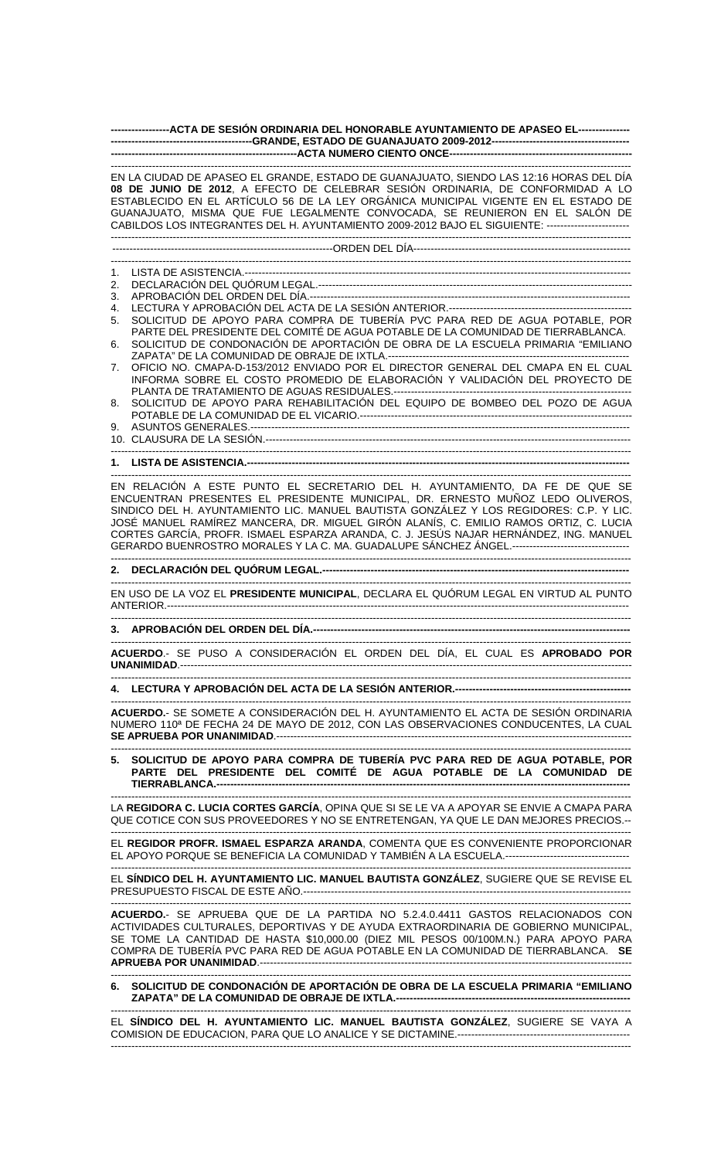| -----------------ACTA DE SESIÓN ORDINARIA DEL HONORABLE AYUNTAMIENTO DE APASEO EL---------------                                                                                                                                                                                                                                                                                                                                                                                                                                                |
|-------------------------------------------------------------------------------------------------------------------------------------------------------------------------------------------------------------------------------------------------------------------------------------------------------------------------------------------------------------------------------------------------------------------------------------------------------------------------------------------------------------------------------------------------|
|                                                                                                                                                                                                                                                                                                                                                                                                                                                                                                                                                 |
| EN LA CIUDAD DE APASEO EL GRANDE, ESTADO DE GUANAJUATO, SIENDO LAS 12:16 HORAS DEL DÍA<br>08 DE JUNIO DE 2012, A EFECTO DE CELEBRAR SESIÓN ORDINARIA, DE CONFORMIDAD A LO<br>ESTABLECIDO EN EL ARTÍCULO 56 DE LA LEY ORGÁNICA MUNICIPAL VIGENTE EN EL ESTADO DE<br>GUANAJUATO, MISMA QUE FUE LEGALMENTE CONVOCADA, SE REUNIERON EN EL SALÓN DE<br>CABILDOS LOS INTEGRANTES DEL H. AYUNTAMIENTO 2009-2012 BAJO EL SIGUIENTE: -------------------------                                                                                           |
|                                                                                                                                                                                                                                                                                                                                                                                                                                                                                                                                                 |
|                                                                                                                                                                                                                                                                                                                                                                                                                                                                                                                                                 |
| 1.<br>2.<br>3.                                                                                                                                                                                                                                                                                                                                                                                                                                                                                                                                  |
| 4.<br>SOLICITUD DE APOYO PARA COMPRA DE TUBERÍA PVC PARA RED DE AGUA POTABLE, POR<br>5.                                                                                                                                                                                                                                                                                                                                                                                                                                                         |
| PARTE DEL PRESIDENTE DEL COMITÉ DE AGUA POTABLE DE LA COMUNIDAD DE TIERRABLANCA.<br>SOLICITUD DE CONDONACIÓN DE APORTACIÓN DE OBRA DE LA ESCUELA PRIMARIA "EMILIANO<br>6.                                                                                                                                                                                                                                                                                                                                                                       |
| OFICIO NO. CMAPA-D-153/2012 ENVIADO POR EL DIRECTOR GENERAL DEL CMAPA EN EL CUAL<br>7.<br>INFORMA SOBRE EL COSTO PROMEDIO DE ELABORACIÓN Y VALIDACIÓN DEL PROYECTO DE                                                                                                                                                                                                                                                                                                                                                                           |
| SOLICITUD DE APOYO PARA REHABILITACIÓN DEL EQUIPO DE BOMBEO DEL POZO DE AGUA<br>8.                                                                                                                                                                                                                                                                                                                                                                                                                                                              |
| 9.                                                                                                                                                                                                                                                                                                                                                                                                                                                                                                                                              |
|                                                                                                                                                                                                                                                                                                                                                                                                                                                                                                                                                 |
| EN RELACIÓN A ESTE PUNTO EL SECRETARIO DEL H. AYUNTAMIENTO, DA FE DE QUE SE<br>ENCUENTRAN PRESENTES EL PRESIDENTE MUNICIPAL, DR. ERNESTO MUÑOZ LEDO OLIVEROS,<br>SINDICO DEL H. AYUNTAMIENTO LIC. MANUEL BAUTISTA GONZÁLEZ Y LOS REGIDORES: C.P. Y LIC.<br>JOSÉ MANUEL RAMÍREZ MANCERA, DR. MIGUEL GIRÓN ALANÍS, C. EMILIO RAMOS ORTIZ, C. LUCIA<br>CORTES GARCÍA, PROFR. ISMAEL ESPARZA ARANDA, C. J. JESÚS NAJAR HERNÁNDEZ, ING. MANUEL<br>GERARDO BUENROSTRO MORALES Y LA C. MA. GUADALUPE SÁNCHEZ ÁNGEL.----------------------------------- |
|                                                                                                                                                                                                                                                                                                                                                                                                                                                                                                                                                 |
| EN USO DE LA VOZ EL PRESIDENTE MUNICIPAL, DECLARA EL QUÓRUM LEGAL EN VIRTUD AL PUNTO                                                                                                                                                                                                                                                                                                                                                                                                                                                            |
| 3. APROBACIÓN DEL ORDEN DEL DÍA.----------------------------                                                                                                                                                                                                                                                                                                                                                                                                                                                                                    |
| ACUERDO.- SE PUSO A CONSIDERACIÓN EL ORDEN DEL DÍA, EL CUAL ES APROBADO POR                                                                                                                                                                                                                                                                                                                                                                                                                                                                     |
|                                                                                                                                                                                                                                                                                                                                                                                                                                                                                                                                                 |
| ACUERDO.- SE SOMETE A CONSIDERACIÓN DEL H. AYUNTAMIENTO EL ACTA DE SESIÓN ORDINARIA<br>NUMERO 110ª DE FECHA 24 DE MAYO DE 2012, CON LAS OBSERVACIONES CONDUCENTES, LA CUAL                                                                                                                                                                                                                                                                                                                                                                      |
| SOLICITUD DE APOYO PARA COMPRA DE TUBERÍA PVC PARA RED DE AGUA POTABLE, POR<br>PARTE DEL PRESIDENTE DEL COMITÉ DE AGUA POTABLE DE LA COMUNIDAD DE                                                                                                                                                                                                                                                                                                                                                                                               |
| LA REGIDORA C. LUCIA CORTES GARCÍA, OPINA QUE SI SE LE VA A APOYAR SE ENVIE A CMAPA PARA<br>QUE COTICE CON SUS PROVEEDORES Y NO SE ENTRETENGAN, YA QUE LE DAN MEJORES PRECIOS.--                                                                                                                                                                                                                                                                                                                                                                |
| EL REGIDOR PROFR. ISMAEL ESPARZA ARANDA, COMENTA QUE ES CONVENIENTE PROPORCIONAR<br>EL APOYO PORQUE SE BENEFICIA LA COMUNIDAD Y TAMBIÉN A LA ESCUELA.-----------------------------------                                                                                                                                                                                                                                                                                                                                                        |
| EL SÍNDICO DEL H. AYUNTAMIENTO LIC. MANUEL BAUTISTA GONZÁLEZ, SUGIERE QUE SE REVISE EL                                                                                                                                                                                                                                                                                                                                                                                                                                                          |
| ACUERDO.- SE APRUEBA QUE DE LA PARTIDA NO 5.2.4.0.4411 GASTOS RELACIONADOS CON<br>ACTIVIDADES CULTURALES, DEPORTIVAS Y DE AYUDA EXTRAORDINARIA DE GOBIERNO MUNICIPAL,<br>SE TOME LA CANTIDAD DE HASTA \$10,000.00 (DIEZ MIL PESOS 00/100M.N.) PARA APOYO PARA<br>COMPRA DE TUBERÍA PVC PARA RED DE AGUA POTABLE EN LA COMUNIDAD DE TIERRABLANCA. SE                                                                                                                                                                                             |

------------------------------------------------------------------------------------------------------------------------------------------------------- **6. SOLICITUD DE CONDONACIÓN DE APORTACIÓN DE OBRA DE LA ESCUELA PRIMARIA "EMILIANO ZAPATA" DE LA COMUNIDAD DE OBRAJE DE IXTLA.--------------------------------------------------------------------** 

EL **SÍNDICO DEL H. AYUNTAMIENTO LIC. MANUEL BAUTISTA GONZÁLEZ**, SUGIERE SE VAYA A COMISION DE EDUCACION, PARA QUE LO ANALICE Y SE DICTAMINE.-------------------------------------------------- -------------------------------------------------------------------------------------------------------------------------------------------------------

-------------------------------------------------------------------------------------------------------------------------------------------------------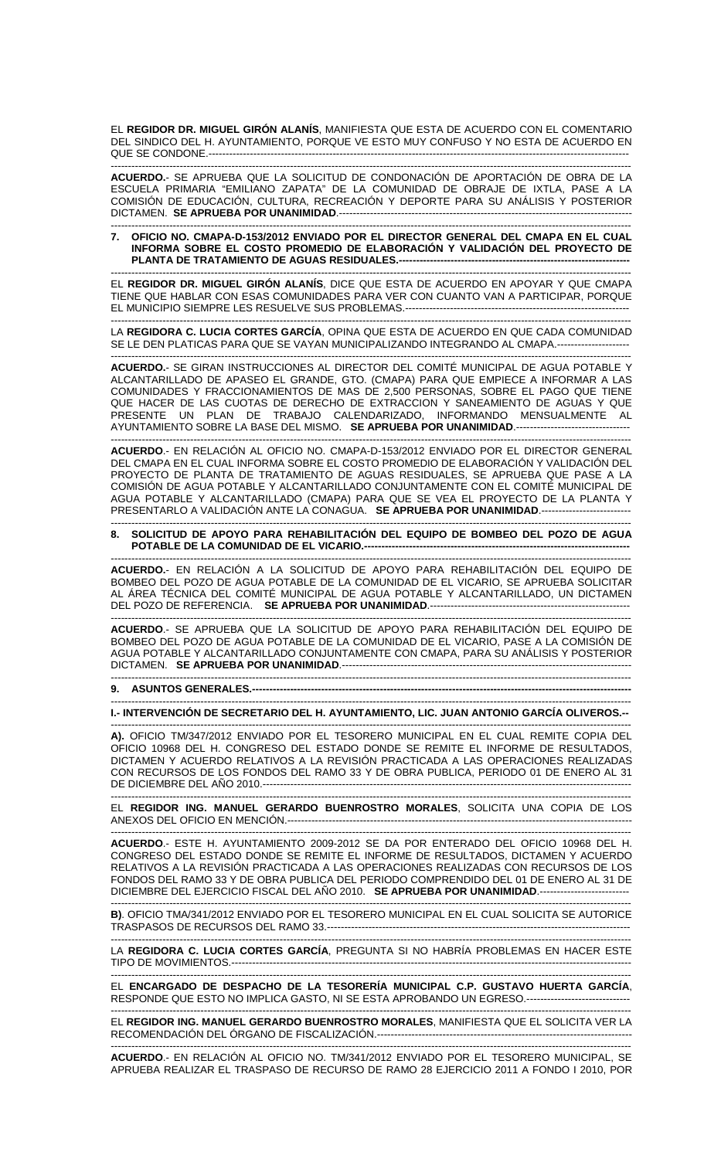EL **REGIDOR DR. MIGUEL GIRÓN ALANÍS**, MANIFIESTA QUE ESTA DE ACUERDO CON EL COMENTARIO DEL SINDICO DEL H. AYUNTAMIENTO, PORQUE VE ESTO MUY CONFUSO Y NO ESTA DE ACUERDO EN QUE SE CONDONE.--------------------------------------------------------------------------------------------------------------------------

**ACUERDO.**- SE APRUEBA QUE LA SOLICITUD DE CONDONACIÓN DE APORTACIÓN DE OBRA DE LA ESCUELA PRIMARIA "EMILIANO ZAPATA" DE LA COMUNIDAD DE OBRAJE DE IXTLA, PASE A LA COMISIÓN DE EDUCACIÓN, CULTURA, RECREACIÓN Y DEPORTE PARA SU ANÁLISIS Y POSTERIOR DICTAMEN. SE APRUEBA POR UNANIMIDAD.-----

------------------------------------------------------------------------------------------------------------------------------------------------------- **7. OFICIO NO. CMAPA-D-153/2012 ENVIADO POR EL DIRECTOR GENERAL DEL CMAPA EN EL CUAL INFORMA SOBRE EL COSTO PROMEDIO DE ELABORACIÓN Y VALIDACIÓN DEL PROYECTO DE PLANTA DE TRATAMIENTO DE AGUAS RESIDUALES.-------------------------------------------------------------------** 

------------------------------------------------------------------------------------------------------------------------------------------------------- EL **REGIDOR DR. MIGUEL GIRÓN ALANÍS**, DICE QUE ESTA DE ACUERDO EN APOYAR Y QUE CMAPA TIENE QUE HABLAR CON ESAS COMUNIDADES PARA VER CON CUANTO VAN A PARTICIPAR, PORQUE EL MUNICIPIO SIEMPRE LES RESUELVE SUS PROBLEMAS.----------------------------------------------------------------- -------------------------------------------------------------------------------------------------------------------------------------------------------

LA **REGIDORA C. LUCIA CORTES GARCÍA**, OPINA QUE ESTA DE ACUERDO EN QUE CADA COMUNIDAD SE LE DEN PLATICAS PARA QUE SE VAYAN MUNICIPALIZANDO INTEGRANDO AL CMAPA.---------------------

------------------------------------------------------------------------------------------------------------------------------------------------------- **ACUERDO.**- SE GIRAN INSTRUCCIONES AL DIRECTOR DEL COMITÉ MUNICIPAL DE AGUA POTABLE Y ALCANTARILLADO DE APASEO EL GRANDE, GTO. (CMAPA) PARA QUE EMPIECE A INFORMAR A LAS COMUNIDADES Y FRACCIONAMIENTOS DE MAS DE 2,500 PERSONAS, SOBRE EL PAGO QUE TIENE QUE HACER DE LAS CUOTAS DE DERECHO DE EXTRACCION Y SANEAMIENTO DE AGUAS Y QUE PRESENTE UN PLAN DE TRABAJO CALENDARIZADO, INFORMANDO MENSUALMENTE AL AYUNTAMIENTO SOBRE LA BASE DEL MISMO. **SE APRUEBA POR UNANIMIDAD**.---------------------------------

------------------------------------------------------------------------------------------------------------------------------------------------------- **ACUERDO**.- EN RELACIÓN AL OFICIO NO. CMAPA-D-153/2012 ENVIADO POR EL DIRECTOR GENERAL DEL CMAPA EN EL CUAL INFORMA SOBRE EL COSTO PROMEDIO DE ELABORACIÓN Y VALIDACIÓN DEL PROYECTO DE PLANTA DE TRATAMIENTO DE AGUAS RESIDUALES, SE APRUEBA QUE PASE A LA COMISIÓN DE AGUA POTABLE Y ALCANTARILLADO CONJUNTAMENTE CON EL COMITÉ MUNICIPAL DE AGUA POTABLE Y ALCANTARILLADO (CMAPA) PARA QUE SE VEA EL PROYECTO DE LA PLANTA Y PRESENTARLO A VALIDACIÓN ANTE LA CONAGUA. **SE APRUEBA POR UNANIMIDAD**.--------------------------

## ------------------------------------------------------------------------------------------------------------------------------------------------------- **8. SOLICITUD DE APOYO PARA REHABILITACIÓN DEL EQUIPO DE BOMBEO DEL POZO DE AGUA POTABLE DE LA COMUNIDAD DE EL VICARIO.--**

-------------------------------------------------------------------------------------------------------------------------------------------------------

**ACUERDO.**- EN RELACIÓN A LA SOLICITUD DE APOYO PARA REHABILITACIÓN DEL EQUIPO DE BOMBEO DEL POZO DE AGUA POTABLE DE LA COMUNIDAD DE EL VICARIO, SE APRUEBA SOLICITAR AL ÁREA TÉCNICA DEL COMITÉ MUNICIPAL DE AGUA POTABLE Y ALCANTARILLADO, UN DICTAMEN DEL POZO DE REFERENCIA. **SE APRUEBA POR UNANIMIDAD**.----------------------------------------------------------

**ACUERDO**.- SE APRUEBA QUE LA SOLICITUD DE APOYO PARA REHABILITACIÓN DEL EQUIPO DE BOMBEO DEL POZO DE AGUA POTABLE DE LA COMUNIDAD DE EL VICARIO, PASE A LA COMISIÓN DE AGUA POTABLE Y ALCANTARILLADO CONJUNTAMENTE CON CMAPA, PARA SU ANÁLISIS Y POSTERIOR DICTAMEN. **SE APRUEBA POR UNANIMIDAD**.------------------------------------------------------------------------------------ -------------------------------------------------------------------------------------------------------------------------------------------------------

-------------------------------------------------------------------------------------------------------------------------------------------------------

**9. ASUNTOS GENERALES.-------**

## ------------------------------------------------------------------------------------------------------------------------------------------------------- **I.- INTERVENCIÓN DE SECRETARIO DEL H. AYUNTAMIENTO, LIC. JUAN ANTONIO GARCÍA OLIVEROS.--**

------------------------------------------------------------------------------------------------------------------------------------------------------- **A).** OFICIO TM/347/2012 ENVIADO POR EL TESORERO MUNICIPAL EN EL CUAL REMITE COPIA DEL OFICIO 10968 DEL H. CONGRESO DEL ESTADO DONDE SE REMITE EL INFORME DE RESULTADOS, DICTAMEN Y ACUERDO RELATIVOS A LA REVISIÓN PRACTICADA A LAS OPERACIONES REALIZADAS CON RECURSOS DE LOS FONDOS DEL RAMO 33 Y DE OBRA PUBLICA, PERIODO 01 DE ENERO AL 31 DE DICIEMBRE DEL AÑO 2010.-----------------------------------------------------------------------------------------------------------

------------------------------------------------------------------------------------------------------------------------------------------------------- EL **REGIDOR ING. MANUEL GERARDO BUENROSTRO MORALES**, SOLICITA UNA COPIA DE LOS ANEXOS DEL OFICIO EN MENCIÓN.----------------------------------------------------------------------------------------------------

------------------------------------------------------------------------------------------------------------------------------------------------------- **ACUERDO**.- ESTE H. AYUNTAMIENTO 2009-2012 SE DA POR ENTERADO DEL OFICIO 10968 DEL H. CONGRESO DEL ESTADO DONDE SE REMITE EL INFORME DE RESULTADOS, DICTAMEN Y ACUERDO RELATIVOS A LA REVISIÓN PRACTICADA A LAS OPERACIONES REALIZADAS CON RECURSOS DE LOS FONDOS DEL RAMO 33 Y DE OBRA PUBLICA DEL PERIODO COMPRENDIDO DEL 01 DE ENERO AL 31 DE DICIEMBRE DEL EJERCICIO FISCAL DEL AÑO 2010. **SE APRUEBA POR UNANIMIDAD**.----

------------------------------------------------------------------------------------------------------------------------------------------------------- **B)**. OFICIO TMA/341/2012 ENVIADO POR EL TESORERO MUNICIPAL EN EL CUAL SOLICITA SE AUTORICE TRASPASOS DE RECURSOS DEL RAMO 33.----------------------------------------------------------------------------------------

LA **REGIDORA C. LUCIA CORTES GARCÍA**, PREGUNTA SI NO HABRÍA PROBLEMAS EN HACER ESTE TIPO DE MOVIMIENTOS.--------------------------------------------------------------------------------------------------------------------

------------------------------------------------------------------------------------------------------------------------------------------------------- EL **ENCARGADO DE DESPACHO DE LA TESORERÍA MUNICIPAL C.P. GUSTAVO HUERTA GARCÍA**, RESPONDE QUE ESTO NO IMPLICA GASTO, NI SE ESTA APROBANDO UN EGRESO.-----------------------------

------------------------------------------------------------------------------------------------------------------------------------------------------- EL **REGIDOR ING. MANUEL GERARDO BUENROSTRO MORALES**, MANIFIESTA QUE EL SOLICITA VER LA RECOMENDACIÓN DEL ÓRGANO DE FISCALIZACIÓN.--------------------------------------------------------------------------

------------------------------------------------------------------------------------------------------------------------------------------------------- **ACUERDO**.- EN RELACIÓN AL OFICIO NO. TM/341/2012 ENVIADO POR EL TESORERO MUNICIPAL, SE APRUEBA REALIZAR EL TRASPASO DE RECURSO DE RAMO 28 EJERCICIO 2011 A FONDO I 2010, POR